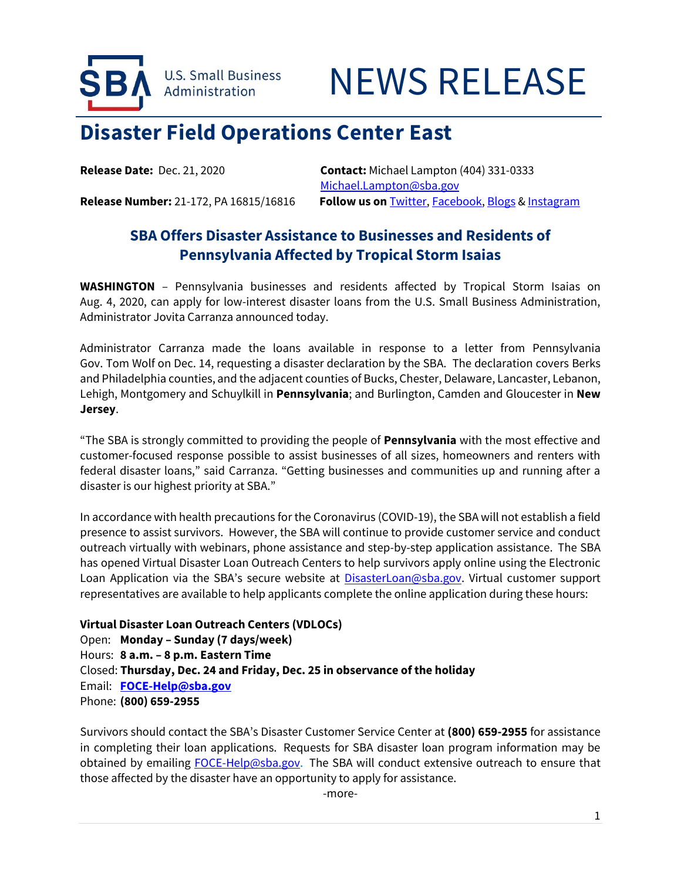



## **Disaster Field Operations Center East**

**Release Date:** Dec. 21, 2020 **Contact:** Michael Lampton (404) 331-0333 [Michael.Lampton@sba.gov](mailto:Michael.Lampton@sba.gov) **Release Number:** 21-172, PA 16815/16816 **Follow us on** [Twitter,](http://www.twitter.com/SBAgov) [Facebook,](http://www.facebook.com/sbagov) [Blogs](http://www.sba.gov/blogs) [& Instagram](https://www.instagram.com/sbagov/)

## **SBA Offers Disaster Assistance to Businesses and Residents of Pennsylvania Affected by Tropical Storm Isaias**

**WASHINGTON** – Pennsylvania businesses and residents affected by Tropical Storm Isaias on Aug. 4, 2020, can apply for low-interest disaster loans from the U.S. Small Business Administration, Administrator Jovita Carranza announced today.

Administrator Carranza made the loans available in response to a letter from Pennsylvania Gov. Tom Wolf on Dec. 14, requesting a disaster declaration by the SBA. The declaration covers Berks and Philadelphia counties, and the adjacent counties of Bucks, Chester, Delaware, Lancaster, Lebanon, Lehigh, Montgomery and Schuylkill in **Pennsylvania**; and Burlington, Camden and Gloucester in **New Jersey**.

"The SBA is strongly committed to providing the people of **Pennsylvania** with the most effective and customer-focused response possible to assist businesses of all sizes, homeowners and renters with federal disaster loans," said Carranza. "Getting businesses and communities up and running after a disaster is our highest priority at SBA."

In accordance with health precautions for the Coronavirus (COVID-19), the SBA will not establish a field presence to assist survivors. However, the SBA will continue to provide customer service and conduct outreach virtually with webinars, phone assistance and step-by-step application assistance. The SBA has opened Virtual Disaster Loan Outreach Centers to help survivors apply online using the Electronic Loan Application via the SBA's secure website at **DisasterLoan@sba.gov**. Virtual customer support representatives are available to help applicants complete the online application during these hours:

## **Virtual Disaster Loan Outreach Centers (VDLOCs)**

Open: **Monday – Sunday (7 days/week)** Hours: **8 a.m. – 8 p.m. Eastern Time** Closed: **Thursday, Dec. 24 and Friday, Dec. 25 in observance of the holiday** Email: **[FOCE-Help@sba.gov](mailto:FOCE-Help@sba.gov)** Phone: **(800) 659-2955**

Survivors should contact the SBA's Disaster Customer Service Center at **(800) 659-2955** for assistance in completing their loan applications. Requests for SBA disaster loan program information may be obtained by emailing [FOCE-Help@sba.gov.](mailto:FOCE-Help@sba.gov) The SBA will conduct extensive outreach to ensure that those affected by the disaster have an opportunity to apply for assistance.

-more-